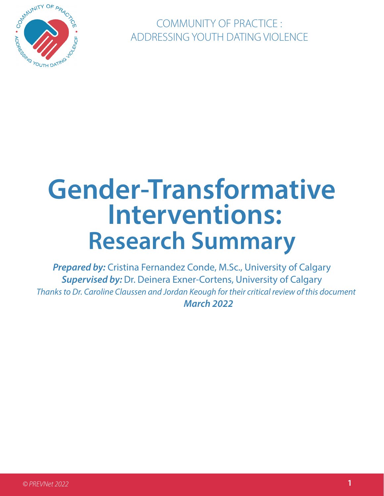

COMMUNITY OF PRACTICE : ADDRESSING YOUTH DATING VIOLENCE

# **Gender-Transformative Interventions: Research Summary**

*Prepared by:* Cristina Fernandez Conde, M.Sc., University of Calgary *Supervised by:* Dr. Deinera Exner-Cortens, University of Calgary  *Thanks to Dr. Caroline Claussen and Jordan Keough for their critical review of this document March 2022*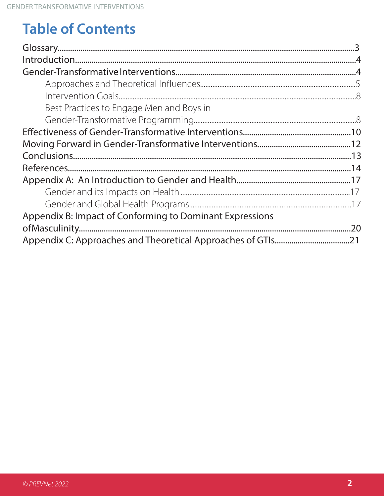## **Table of Contents**

| Best Practices to Engage Men and Boys in                 |  |
|----------------------------------------------------------|--|
|                                                          |  |
|                                                          |  |
|                                                          |  |
|                                                          |  |
|                                                          |  |
|                                                          |  |
|                                                          |  |
|                                                          |  |
| Appendix B: Impact of Conforming to Dominant Expressions |  |
|                                                          |  |
|                                                          |  |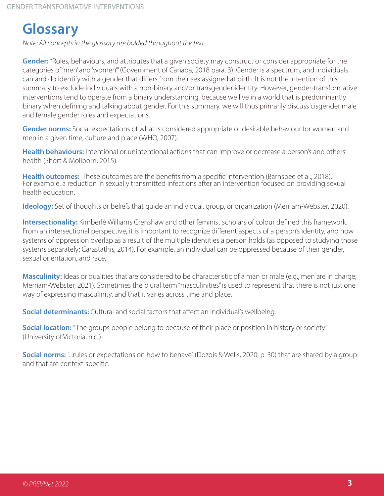## **Glossary**

*Note: All concepts in the glossary are bolded throughout the text.* 

**Gender:** "Roles, behaviours, and attributes that a given society may construct or consider appropriate for the categories of 'men' and 'women'" (Government of Canada, 2018 para. 3). Gender is a spectrum, and individuals can and do identify with a gender that differs from their sex assigned at birth. It is not the intention of this summary to exclude individuals with a non-binary and/or transgender identity. However, gender-transformative interventions tend to operate from a binary understanding, because we live in a world that is predominantly binary when defining and talking about gender. For this summary, we will thus primarily discuss cisgender male and female gender roles and expectations.

**Gender norms:** Social expectations of what is considered appropriate or desirable behaviour for women and men in a given time, culture and place (WHO, 2007).

**Health behaviours:** Intentional or unintentional actions that can improve or decrease a person's and others' health (Short & Mollborn, 2015).

**Health outcomes:** These outcomes are the benefits from a specific intervention (Barnsbee et al., 2018).<br>For example, a reduction in sexually transmitted infections after an intervention focused on providing sexual health education.

**Ideology:** Set of thoughts or beliefs that guide an individual, group, or organization (Merriam-Webster, 2020).

**Intersectionality:** Kimberlé Williams Crenshaw and other feminist scholars of colour defined this framework. From an intersectional perspective, it is important to recognize different aspects of a person's identity, and how systems of oppression overlap as a result of the multiple identities a person holds (as opposed to studying those systems separately; Carastathis, 2014). For example, an individual can be oppressed because of their gender, sexual orientation, and race.

**Masculinity:** Ideas or qualities that are considered to be characteristic of a man or male (e.g., men are in charge; Merriam-Webster, 2021). Sometimes the plural term "masculinities" is used to represent that there is not just one way of expressing masculinity, and that it varies across time and place.

**Social determinants:** Cultural and social factors that affect an individual's wellbeing.

**Social location:** "The groups people belong to because of their place or position in history or society" (University of Victoria, n.d.).

**Social norms:** "...rules or expectations on how to behave" (Dozois & Wells, 2020, p. 30) that are shared by a group and that are context-specific.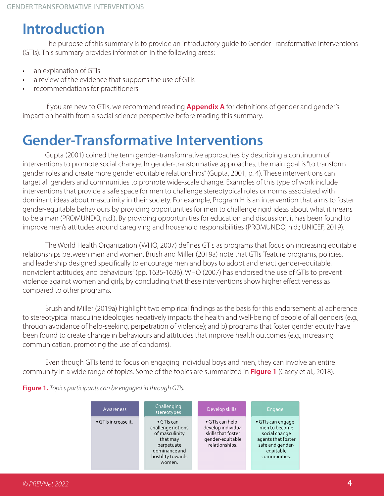## **Introduction**

The purpose of this summary is to provide an introductory guide to Gender Transformative Interventions (GTIs). This summary provides information in the following areas:

- an explanation of GTIs
- a review of the evidence that supports the use of GTIs
- recommendations for practitioners

If you are new to GTIs, we recommend reading **Appendix A** for definitions of gender and gender's impact on health from a social science perspective before reading this summary.

## **Gender-Transformative Interventions**

Gupta (2001) coined the term gender-transformative approaches by describing a continuum of interventions to promote social change. In gender-transformative approaches, the main goal is "to transform gender roles and create more gender equitable relationships" (Gupta, 2001, p. 4). These interventions can target all genders and communities to promote wide-scale change. Examples of this type of work include interventions that provide a safe space for men to challenge stereotypical roles or norms associated with dominant ideas about masculinity in their society. For example, Program H is an intervention that aims to foster gender-equitable behaviours by providing opportunities for men to challenge rigid ideas about what it means to be a man (PROMUNDO, n.d.). By providing opportunities for education and discussion, it has been found to improve men's attitudes around caregiving and household responsibilities (PROMUNDO, n.d.; UNICEF, 2019).

The World Health Organization (WHO, 2007) defines GTIs as programs that focus on increasing equitable relationships between men and women. Brush and Miller (2019a) note that GTIs "feature programs, policies, and leadership designed specifically to encourage men and boys to adopt and enact gender-equitable, nonviolent attitudes, and behaviours" (pp. 1635-1636). WHO (2007) has endorsed the use of GTIs to prevent violence against women and girls, by concluding that these interventions show higher effectiveness as compared to other programs.

Brush and Miller (2019a) highlight two empirical findings as the basis for this endorsement: a) adherence to stereotypical masculine ideologies negatively impacts the health and well-being of people of all genders (e.g., through avoidance of help-seeking, perpetration of violence); and b) programs that foster gender equity have been found to create change in behaviours and attitudes that improve health outcomes (e.g., increasing communication, promoting the use of condoms).

Even though GTIs tend to focus on engaging individual boys and men, they can involve an entire community in a wide range of topics. Some of the topics are summarized in **Figure 1** (Casey et al., 2018).



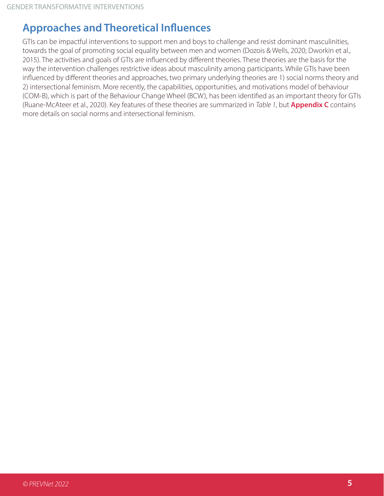#### **Approaches and Theoretical Influences**

GTIs can be impactful interventions to support men and boys to challenge and resist dominant masculinities, towards the goal of promoting social equality between men and women (Dozois & Wells, 2020; Dworkin et al., 2015). The activities and goals of GTIs are influenced by different theories. These theories are the basis for the way the intervention challenges restrictive ideas about masculinity among participants. While GTIs have been influenced by different theories and approaches, two primary underlying theories are 1) social norms theory and 2) intersectional feminism. More recently, the capabilities, opportunities, and motivations model of behaviour (COM-B), which is part of the Behaviour Change Wheel (BCW), has been identified as an important theory for GTIs (Ruane-McAteer et al., 2020). Key features of these theories are summarized in *Table 1*, but **Appendix C** contains more details on social norms and intersectional feminism.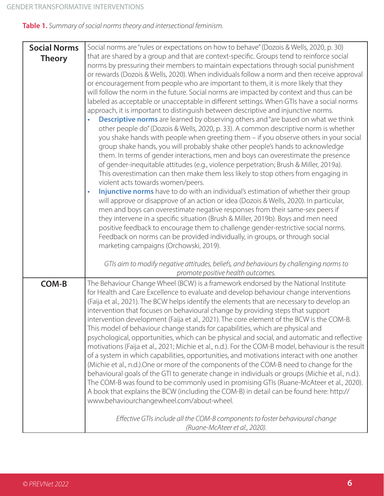**Table 1.** *Summary of social norms theory and intersectional feminism.*

| that are shared by a group and that are context-specific. Groups tend to reinforce social<br>norms by pressuring their members to maintain expectations through social punishment<br>or rewards (Dozois & Wells, 2020). When individuals follow a norm and then receive approval                                                                                                                                                                                                                                                                                                                                                                                                                                                                                                                                                                                                                                                                                                                                                                                                                                                                                                                                                                                                                                                                                                                                                                                                                                                                                                                                                                                                                                                                             |
|--------------------------------------------------------------------------------------------------------------------------------------------------------------------------------------------------------------------------------------------------------------------------------------------------------------------------------------------------------------------------------------------------------------------------------------------------------------------------------------------------------------------------------------------------------------------------------------------------------------------------------------------------------------------------------------------------------------------------------------------------------------------------------------------------------------------------------------------------------------------------------------------------------------------------------------------------------------------------------------------------------------------------------------------------------------------------------------------------------------------------------------------------------------------------------------------------------------------------------------------------------------------------------------------------------------------------------------------------------------------------------------------------------------------------------------------------------------------------------------------------------------------------------------------------------------------------------------------------------------------------------------------------------------------------------------------------------------------------------------------------------------|
| or encouragement from people who are important to them, it is more likely that they<br>will follow the norm in the future. Social norms are impacted by context and thus can be<br>labeled as acceptable or unacceptable in different settings. When GTIs have a social norms<br>approach, it is important to distinguish between descriptive and injunctive norms.<br><b>Descriptive norms</b> are learned by observing others and "are based on what we think<br>other people do" (Dozois & Wells, 2020, p. 33). A common descriptive norm is whether<br>you shake hands with people when greeting them - if you observe others in your social<br>group shake hands, you will probably shake other people's hands to acknowledge<br>them. In terms of gender interactions, men and boys can overestimate the presence<br>of gender-inequitable attitudes (e.g., violence perpetration; Brush & Miller, 2019a).<br>This overestimation can then make them less likely to stop others from engaging in<br>violent acts towards women/peers.<br>Injunctive norms have to do with an individual's estimation of whether their group<br>$\bullet$<br>will approve or disapprove of an action or idea (Dozois & Wells, 2020). In particular,<br>men and boys can overestimate negative responses from their same-sex peers if<br>they intervene in a specific situation (Brush & Miller, 2019b). Boys and men need<br>positive feedback to encourage them to challenge gender-restrictive social norms.<br>Feedback on norms can be provided individually, in groups, or through social<br>marketing campaigns (Orchowski, 2019).<br>GTIs aim to modify negative attitudes, beliefs, and behaviours by challenging norms to<br>promote positive health outcomes. |
| The Behaviour Change Wheel (BCW) is a framework endorsed by the National Institute<br>for Health and Care Excellence to evaluate and develop behaviour change interventions<br>(Faija et al., 2021). The BCW helps identify the elements that are necessary to develop an<br>intervention that focuses on behavioural change by providing steps that support<br>intervention development (Faija et al., 2021). The core element of the BCW is the COM-B.<br>This model of behaviour change stands for capabilities, which are physical and<br>psychological, opportunities, which can be physical and social, and automatic and reflective<br>motivations (Faija et al., 2021; Michie et al., n.d.). For the COM-B model, behaviour is the result<br>of a system in which capabilities, opportunities, and motivations interact with one another<br>(Michie et al., n.d.).One or more of the components of the COM-B need to change for the<br>behavioural goals of the GTI to generate change in individuals or groups (Michie et al., n.d.).<br>The COM-B was found to be commonly used in promising GTIs (Ruane-McAteer et al., 2020).<br>A book that explains the BCW (including the COM-B) in detail can be found here: http://<br>www.behaviourchangewheel.com/about-wheel.<br>Effective GTIs include all the COM-B components to foster behavioural change<br>(Ruane-McAteer et al., 2020).                                                                                                                                                                                                                                                                                                                                                           |
|                                                                                                                                                                                                                                                                                                                                                                                                                                                                                                                                                                                                                                                                                                                                                                                                                                                                                                                                                                                                                                                                                                                                                                                                                                                                                                                                                                                                                                                                                                                                                                                                                                                                                                                                                              |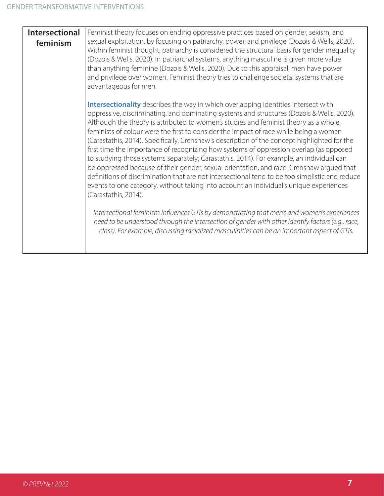| <b>Intersectional</b><br>feminism | Feminist theory focuses on ending oppressive practices based on gender, sexism, and<br>sexual exploitation, by focusing on patriarchy, power, and privilege (Dozois & Wells, 2020).<br>Within feminist thought, patriarchy is considered the structural basis for gender inequality<br>(Dozois & Wells, 2020). In patriarchal systems, anything masculine is given more value<br>than anything feminine (Dozois & Wells, 2020). Due to this appraisal, men have power<br>and privilege over women. Feminist theory tries to challenge societal systems that are<br>advantageous for men.                                                                                                                                                                                                                                                                                                                                                                               |
|-----------------------------------|------------------------------------------------------------------------------------------------------------------------------------------------------------------------------------------------------------------------------------------------------------------------------------------------------------------------------------------------------------------------------------------------------------------------------------------------------------------------------------------------------------------------------------------------------------------------------------------------------------------------------------------------------------------------------------------------------------------------------------------------------------------------------------------------------------------------------------------------------------------------------------------------------------------------------------------------------------------------|
|                                   | Intersectionality describes the way in which overlapping identities intersect with<br>oppressive, discriminating, and dominating systems and structures (Dozois & Wells, 2020).<br>Although the theory is attributed to women's studies and feminist theory as a whole,<br>feminists of colour were the first to consider the impact of race while being a woman<br>(Carastathis, 2014). Specifically, Crenshaw's description of the concept highlighted for the<br>first time the importance of recognizing how systems of oppression overlap (as opposed<br>to studying those systems separately; Carastathis, 2014). For example, an individual can<br>be oppressed because of their gender, sexual orientation, and race. Crenshaw argued that<br>definitions of discrimination that are not intersectional tend to be too simplistic and reduce<br>events to one category, without taking into account an individual's unique experiences<br>(Carastathis, 2014). |
|                                   | Intersectional feminism influences GTIs by demonstrating that men's and women's experiences<br>need to be understood through the intersection of gender with other identify factors (e.g., race,<br>class). For example, discussing racialized masculinities can be an important aspect of GTIs.                                                                                                                                                                                                                                                                                                                                                                                                                                                                                                                                                                                                                                                                       |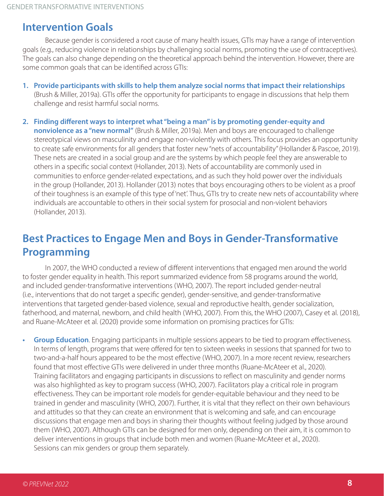#### **Intervention Goals**

Because gender is considered a root cause of many health issues, GTIs may have a range of intervention goals (e.g., reducing violence in relationships by challenging social norms, promoting the use of contraceptives). The goals can also change depending on the theoretical approach behind the intervention. However, there are some common goals that can be identified across GTIs:

- **1. Provide participants with skills to help them analyze social norms that impact their relationships**  (Brush & Miller, 2019a). GTIs offer the opportunity for participants to engage in discussions that help them challenge and resist harmful social norms.
- **2. Finding different ways to interpret what "being a man" is by promoting gender-equity and nonviolence as a "new normal"** (Brush & Miller, 2019a). Men and boys are encouraged to challenge stereotypical views on masculinity and engage non-violently with others. This focus provides an opportunity to create safe environments for all genders that foster new "nets of accountability" (Hollander & Pascoe, 2019). These nets are created in a social group and are the systems by which people feel they are answerable to others in a specific social context (Hollander, 2013). Nets of accountability are commonly used in communities to enforce gender-related expectations, and as such they hold power over the individuals in the group (Hollander, 2013). Hollander (2013) notes that boys encouraging others to be violent as a proof of their toughness is an example of this type of 'net'. Thus, GTIs try to create new nets of accountability where individuals are accountable to others in their social system for prosocial and non-violent behaviors (Hollander, 2013).

#### **Best Practices to Engage Men and Boys in Gender-Transformative Programming**

In 2007, the WHO conducted a review of different interventions that engaged men around the world to foster gender equality in health. This report summarized evidence from 58 programs around the world, and included gender-transformative interventions (WHO, 2007). The report included gender-neutral (i.e., interventions that do not target a specific gender), gender-sensitive, and gender-transformative interventions that targeted gender-based violence, sexual and reproductive health, gender socialization, fatherhood, and maternal, newborn, and child health (WHO, 2007). From this, the WHO (2007), Casey et al. (2018), and Ruane-McAteer et al. (2020) provide some information on promising practices for GTIs:

**• Group Education**. Engaging participants in multiple sessions appears to be tied to program effectiveness. In terms of length, programs that were offered for ten to sixteen weeks in sessions that spanned for two to two-and-a-half hours appeared to be the most effective (WHO, 2007). In a more recent review, researchers found that most effective GTIs were delivered in under three months (Ruane-McAteer et al., 2020). Training facilitators and engaging participants in discussions to reflect on masculinity and gender norms was also highlighted as key to program success (WHO, 2007). Facilitators play a critical role in program effectiveness. They can be important role models for gender-equitable behaviour and they need to be trained in gender and masculinity (WHO, 2007). Further, it is vital that they reflect on their own behaviours and attitudes so that they can create an environment that is welcoming and safe, and can encourage discussions that engage men and boys in sharing their thoughts without feeling judged by those around them (WHO, 2007). Although GTIs can be designed for men only, depending on their aim, it is common to deliver interventions in groups that include both men and women (Ruane-McAteer et al., 2020). Sessions can mix genders or group them separately.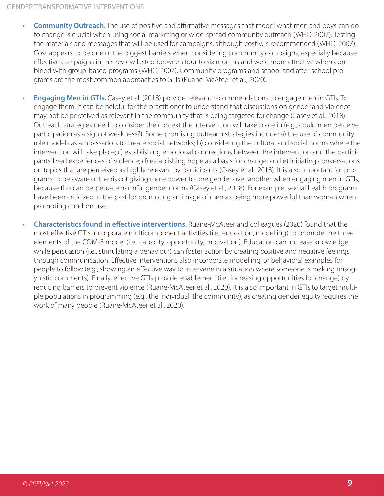- **Community Outreach**. The use of positive and affirmative messages that model what men and boys can do to change is crucial when using social marketing or wide-spread community outreach (WHO, 2007). Testing the materials and messages that will be used for campaigns, although costly, is recommended (WHO, 2007). Cost appears to be one of the biggest barriers when considering community campaigns, especially because effective campaigns in this review lasted between four to six months and were more effective when combined with group-based programs (WHO, 2007). Community programs and school and after-school programs are the most common approaches to GTIs (Ruane-McAteer et al., 2020).
- **Engaging Men in GTIs.** Casey et al. (2018) provide relevant recommendations to engage men in GTIs. To engage them, it can be helpful for the practitioner to understand that discussions on gender and violence may not be perceived as relevant in the community that is being targeted for change (Casey et al., 2018). Outreach strategies need to consider the context the intervention will take place in (e.g., could men perceive participation as a sign of weakness?). Some promising outreach strategies include: a) the use of community role models as ambassadors to create social networks; b) considering the cultural and social norms where the intervention will take place; c) establishing emotional connections between the intervention and the participants' lived experiences of violence; d) establishing hope as a basis for change; and e) initiating conversations on topics that are perceived as highly relevant by participants (Casey et al., 2018). It is also important for programs to be aware of the risk of giving more power to one gender over another when engaging men in GTIs, because this can perpetuate harmful gender norms (Casey et al., 2018). For example, sexual health programs have been criticized in the past for promoting an image of men as being more powerful than woman when promoting condom use.
- **• Characteristics found in effective interventions.** Ruane-McAteer and colleagues (2020) found that the most effective GTIs incorporate multicomponent activities (i.e., education, modelling) to promote the three elements of the COM-B model (i.e., capacity, opportunity, motivation). Education can increase knowledge, while persuasion (i.e., stimulating a behaviour) can foster action by creating positive and negative feelings through communication. Effective interventions also incorporate modelling, or behavioral examples for people to follow (e.g., showing an effective way to intervene in a situation where someone is making misogynistic comments). Finally, effective GTIs provide enablement (i.e., increasing opportunities for change) by reducing barriers to prevent violence (Ruane-McAteer et al., 2020). It is also important in GTIs to target multiple populations in programming (e.g., the individual, the community), as creating gender equity requires the work of many people (Ruane-McAteer et al., 2020).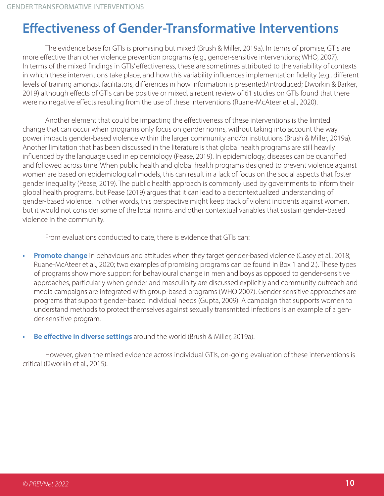### **Effectiveness of Gender-Transformative Interventions**

The evidence base for GTIs is promising but mixed (Brush & Miller, 2019a). In terms of promise, GTIs are more effective than other violence prevention programs (e.g., gender-sensitive interventions; WHO, 2007). In terms of the mixed findings in GTIs' effectiveness, these are sometimes attributed to the variability of contexts in which these interventions take place, and how this variability influences implementation fidelity (e.g., different levels of training amongst facilitators, differences in how information is presented/introduced; Dworkin & Barker, 2019) although effects of GTIs can be positive or mixed, a recent review of 61 studies on GTIs found that there were no negative effects resulting from the use of these interventions (Ruane-McAteer et al., 2020).

Another element that could be impacting the effectiveness of these interventions is the limited change that can occur when programs only focus on gender norms, without taking into account the way power impacts gender-based violence within the larger community and/or institutions (Brush & Miller, 2019a). Another limitation that has been discussed in the literature is that global health programs are still heavily influenced by the language used in epidemiology (Pease, 2019). In epidemiology, diseases can be quantified and followed across time. When public health and global health programs designed to prevent violence against women are based on epidemiological models, this can result in a lack of focus on the social aspects that foster gender inequality (Pease, 2019). The public health approach is commonly used by governments to inform their global health programs, but Pease (2019) argues that it can lead to a decontextualized understanding of gender-based violence. In other words, this perspective might keep track of violent incidents against women, but it would not consider some of the local norms and other contextual variables that sustain gender-based violence in the community.

From evaluations conducted to date, there is evidence that GTIs can:

- **Promote change** in behaviours and attitudes when they target gender-based violence (Casey et al., 2018; Ruane-McAteer et al., 2020; two examples of promising programs can be found in Box 1 and 2.). These types of programs show more support for behavioural change in men and boys as opposed to gender-sensitive approaches, particularly when gender and masculinity are discussed explicitly and community outreach and media campaigns are integrated with group-based programs (WHO 2007). Gender-sensitive approaches are programs that support gender-based individual needs (Gupta, 2009). A campaign that supports women to understand methods to protect themselves against sexually transmitted infections is an example of a gender-sensitive program.
- **• Be effective in diverse settings** around the world (Brush & Miller, 2019a).

However, given the mixed evidence across individual GTIs, on-going evaluation of these interventions is critical (Dworkin et al., 2015).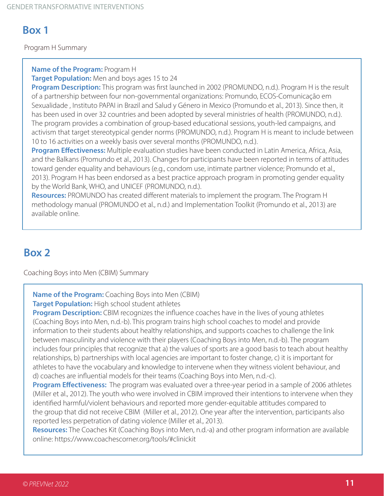#### **Example 1**

Program H Summary

**Name of the Program:** Program H

**Target Population:** Men and boys ages 15 to 24

**Program Description:** This program was first launched in 2002 (PROMUNDO, n.d.). Program H is the result of a partnership between four non-governmental organizations: Promundo, ECOS-Comunicação em Sexualidade , Instituto PAPAI in Brazil and Salud y Género in Mexico (Promundo et al., 2013). Since then, it has been used in over 32 countries and been adopted by several ministries of health (PROMUNDO, n.d.). The program provides a combination of group-based educational sessions, youth-led campaigns, and activism that target stereotypical gender norms (PROMUNDO, n.d.). Program H is meant to include between 10 to 16 activities on a weekly basis over several months (PROMUNDO, n.d.).

**Program Effectiveness:** Multiple evaluation studies have been conducted in Latin America, Africa, Asia, and the Balkans (Promundo et al., 2013). Changes for participants have been reported in terms of attitudes toward gender equality and behaviours (e.g., condom use, intimate partner violence; Promundo et al., 2013). Program H has been endorsed as a best practice approach program in promoting gender equality by the World Bank, WHO, and UNICEF (PROMUNDO, n.d.).

**Resources:** PROMUNDO has created different materials to implement the program. The Program H methodology manual (PROMUNDO et al., n.d.) and Implementation Toolkit (Promundo et al., 2013) are available online.

#### **Box 2**

Coaching Boys into Men (CBIM) Summary

**Name of the Program:** Coaching Boys into Men (CBIM)

**Target Population:** High school student athletes

**Program Description:** CBIM recognizes the influence coaches have in the lives of young athletes (Coaching Boys into Men, n.d.-b). This program trains high school coaches to model and provide information to their students about healthy relationships, and supports coaches to challenge the link between masculinity and violence with their players (Coaching Boys into Men, n.d.-b). The program includes four principles that recognize that a) the values of sports are a good basis to teach about healthy relationships, b) partnerships with local agencies are important to foster change, c) it is important for athletes to have the vocabulary and knowledge to intervene when they witness violent behaviour, and d) coaches are influential models for their teams (Coaching Boys into Men, n.d.-c).

**Program Effectiveness:** The program was evaluated over a three-year period in a sample of 2006 athletes (Miller et al., 2012). The youth who were involved in CBIM improved their intentions to intervene when they identified harmful/violent behaviours and reported more gender-equitable attitudes compared to the group that did not receive CBIM (Miller et al., 2012). One year after the intervention, participants also reported less perpetration of dating violence (Miller et al., 2013).

**Resources:** The Coaches Kit (Coaching Boys into Men, n.d.-a) and other program information are available online: https://www.coachescorner.org/tools/#clinickit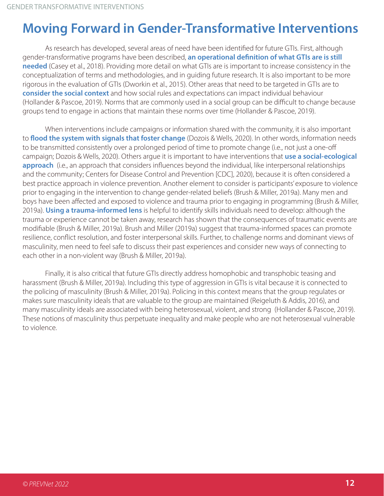### **Moving Forward in Gender-Transformative Interventions**

As research has developed, several areas of need have been identified for future GTIs. First, although gender-transformative programs have been described, **an operational definition of what GTIs are is still needed** (Casey et al., 2018). Providing more detail on what GTIs are is important to increase consistency in the conceptualization of terms and methodologies, and in guiding future research. It is also important to be more rigorous in the evaluation of GTIs (Dworkin et al., 2015). Other areas that need to be targeted in GTIs are to **consider the social context** and how social rules and expectations can impact individual behaviour (Hollander & Pascoe, 2019). Norms that are commonly used in a social group can be difficult to change because groups tend to engage in actions that maintain these norms over time (Hollander & Pascoe, 2019).

When interventions include campaigns or information shared with the community, it is also important to **flood the system with signals that foster change** (Dozois & Wells, 2020). In other words, information needs to be transmitted consistently over a prolonged period of time to promote change (i.e., not just a one-off campaign; Dozois & Wells, 2020). Others argue it is important to have interventions that **use a social-ecological approach** (i.e., an approach that considers influences beyond the individual, like interpersonal relationships and the community; Centers for Disease Control and Prevention [CDC], 2020), because it is often considered a best practice approach in violence prevention. Another element to consider is participants' exposure to violence prior to engaging in the intervention to change gender-related beliefs (Brush & Miller, 2019a). Many men and boys have been affected and exposed to violence and trauma prior to engaging in programming (Brush & Miller, 2019a). **Using a trauma-informed lens** is helpful to identify skills individuals need to develop: although the trauma or experience cannot be taken away, research has shown that the consequences of traumatic events are modifiable (Brush & Miller, 2019a). Brush and Miller (2019a) suggest that trauma-informed spaces can promote resilience, conflict resolution, and foster interpersonal skills. Further, to challenge norms and dominant views of masculinity, men need to feel safe to discuss their past experiences and consider new ways of connecting to each other in a non-violent way (Brush & Miller, 2019a).

Finally, it is also critical that future GTIs directly address homophobic and transphobic teasing and harassment (Brush & Miller, 2019a). Including this type of aggression in GTIs is vital because it is connected to the policing of masculinity (Brush & Miller, 2019a). Policing in this context means that the group regulates or makes sure masculinity ideals that are valuable to the group are maintained (Reigeluth & Addis, 2016), and many masculinity ideals are associated with being heterosexual, violent, and strong (Hollander & Pascoe, 2019). These notions of masculinity thus perpetuate inequality and make people who are not heterosexual vulnerable to violence.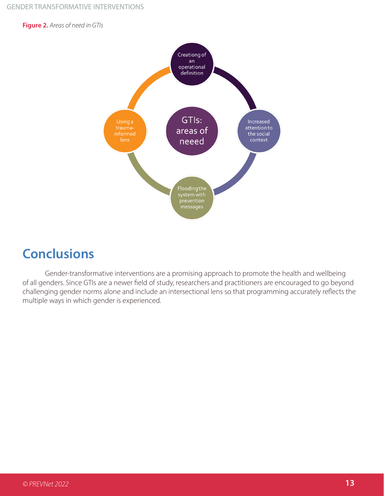**Figure 2.** *Areas of need in GTIs*



#### **Conclusions**

Gender-transformative interventions are a promising approach to promote the health and wellbeing of all genders. Since GTIs are a newer field of study, researchers and practitioners are encouraged to go beyond challenging gender norms alone and include an intersectional lens so that programming accurately reflects the multiple ways in which gender is experienced.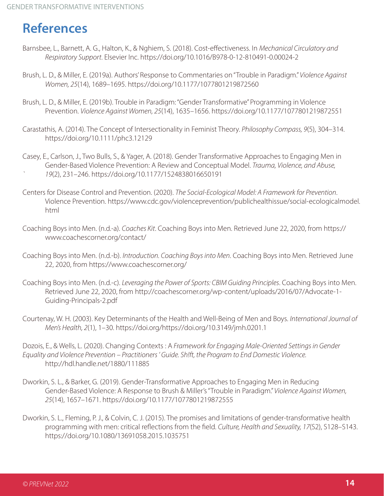### **References**

- Barnsbee, L., Barnett, A. G., Halton, K., & Nghiem, S. (2018). Cost-effectiveness. In *Mechanical Circulatory and Respiratory Support*. Elsevier Inc. https://doi.org/10.1016/B978-0-12-810491-0.00024-2
- Brush, L. D., & Miller, E. (2019a). Authors' Response to Commentaries on "Trouble in Paradigm." *Violence Against Women, 25*(14), 1689–1695. https://doi.org/10.1177/1077801219872560
- Brush, L. D., & Miller, E. (2019b). Trouble in Paradigm: "Gender Transformative" Programming in Violence Prevention. *Violence Against Women, 25*(14), 1635–1656. https://doi.org/10.1177/1077801219872551
- Carastathis, A. (2014). The Concept of Intersectionality in Feminist Theory. *Philosophy Compass, 9*(5), 304–314. https://doi.org/10.1111/phc3.12129
- Casey, E., Carlson, J., Two Bulls, S., & Yager, A. (2018). Gender Transformative Approaches to Engaging Men in Gender-Based Violence Prevention: A Review and Conceptual Model. *Trauma, Violence, and Abuse, ` 19*(2), 231–246. https://doi.org/10.1177/1524838016650191
- Centers for Disease Control and Prevention. (2020). *The Social-Ecological Model: A Framework for Prevention*. Violence Prevention. https://www.cdc.gov/violenceprevention/publichealthissue/social-ecologicalmodel. html
- Coaching Boys into Men. (n.d.-a). *Coaches Kit*. Coaching Boys into Men. Retrieved June 22, 2020, from https:// www.coachescorner.org/contact/
- Coaching Boys into Men. (n.d.-b). *Introduction. Coaching Boys into Men*. Coaching Boys into Men. Retrieved June 22, 2020, from https://www.coachescorner.org/
- Coaching Boys into Men. (n.d.-c). *Leveraging the Power of Sports: CBIM Guiding Principles*. Coaching Boys into Men. Retrieved June 22, 2020, from http://coachescorner.org/wp-content/uploads/2016/07/Advocate-1- Guiding-Principals-2.pdf
- Courtenay, W. H. (2003). Key Determinants of the Health and Well-Being of Men and Boys. *International Journal of Men's Health, 2*(1), 1–30. https://doi.org/https://doi.org/10.3149/jmh.0201.1
- Dozois, E., & Wells, L. (2020). Changing Contexts : A *Framework for Engaging Male-Oriented Settings in Gender Equality and Violence Prevention – Practitioners ' Guide. Sh!ft, the Program to End Domestic Violence.* http://hdl.handle.net/1880/111885
- Dworkin, S. L., & Barker, G. (2019). Gender-Transformative Approaches to Engaging Men in Reducing Gender-Based Violence: A Response to Brush & Miller's "Trouble in Paradigm." *Violence Against Women, 25*(14), 1657–1671. https://doi.org/10.1177/1077801219872555
- Dworkin, S. L., Fleming, P. J., & Colvin, C. J. (2015). The promises and limitations of gender-transformative health programming with men: critical reflections from the field. *Culture, Health and Sexuality, 17*(S2), S128–S143. https://doi.org/10.1080/13691058.2015.1035751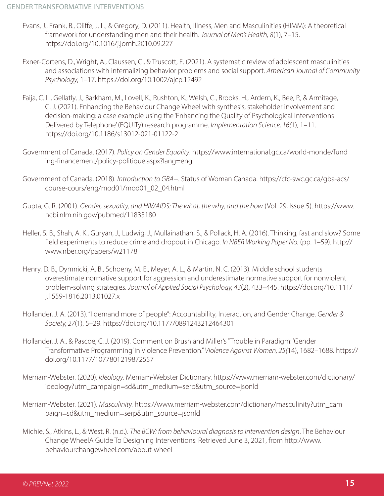- Evans, J., Frank, B., Oliffe, J. L., & Gregory, D. (2011). Health, Illness, Men and Masculinities (HIMM): A theoretical framework for understanding men and their health. *Journal of Men's Health, 8*(1), 7–15. https://doi.org/10.1016/j.jomh.2010.09.227
- Exner-Cortens, D., Wright, A., Claussen, C., & Truscott, E. (2021). A systematic review of adolescent masculinities and associations with internalizing behavior problems and social support. *American Journal of Community Psychology*, 1–17. https://doi.org/10.1002/ajcp.12492
- Faija, C. L., Gellatly, J., Barkham, M., Lovell, K., Rushton, K., Welsh, C., Brooks, H., Ardern, K., Bee, P., & Armitage, C. J. (2021). Enhancing the Behaviour Change Wheel with synthesis, stakeholder involvement and decision-making: a case example using the 'Enhancing the Quality of Psychological Interventions Delivered by Telephone' (EQUITy) research programme. *Implementation Science, 16(*1), 1–11. https://doi.org/10.1186/s13012-021-01122-2
- Government of Canada. (2017). *Policy on Gender Equality*. https://www.international.gc.ca/world-monde/fund ing-financement/policy-politique.aspx?lang=eng
- Government of Canada. (2018). *Introduction to GBA+*. Status of Woman Canada. https://cfc-swc.gc.ca/gba-acs/ course-cours/eng/mod01/mod01\_02\_04.html
- Gupta, G. R. (2001). *Gender, sexuality, and HIV/AIDS: The what, the why, and the how* (Vol. 29, Issue 5). https://www. ncbi.nlm.nih.gov/pubmed/11833180
- Heller, S. B., Shah, A. K., Guryan, J., Ludwig, J., Mullainathan, S., & Pollack, H. A. (2016). Thinking, fast and slow? Some field experiments to reduce crime and dropout in Chicago. *In NBER Working Paper No.* (pp. 1–59). http:// www.nber.org/papers/w21178
- Henry, D. B., Dymnicki, A. B., Schoeny, M. E., Meyer, A. L., & Martin, N. C. (2013). Middle school students overestimate normative support for aggression and underestimate normative support for nonviolent problem-solving strategies. *Journal of Applied Social Psychology, 43*(2), 433–445. https://doi.org/10.1111/ j.1559-1816.2013.01027.x
- Hollander, J. A. (2013). "I demand more of people": Accountability, Interaction, and Gender Change. *Gender & Society, 27*(1), 5–29. https://doi.org/10.1177/0891243212464301
- Hollander, J. A., & Pascoe, C. J. (2019). Comment on Brush and Miller's "Trouble in Paradigm: 'Gender Transformative Programming' in Violence Prevention." *Violence Against Women, 25(*14), 1682–1688. https:// doi.org/10.1177/1077801219872557
- Merriam-Webster. (2020). *Ideology.* Merriam-Webster Dictionary. https://www.merriam-webster.com/dictionary/ ideology?utm\_campaign=sd&utm\_medium=serp&utm\_source=jsonld
- Merriam-Webster. (2021). *Masculinity.* https://www.merriam-webster.com/dictionary/masculinity?utm\_cam paign=sd&utm\_medium=serp&utm\_source=jsonld
- Michie, S., Atkins, L., & West, R. (n.d.). *The BCW: from behavioural diagnosis to intervention design*. The Behaviour Change WheelA Guide To Designing Interventions. Retrieved June 3, 2021, from http://www. behaviourchangewheel.com/about-wheel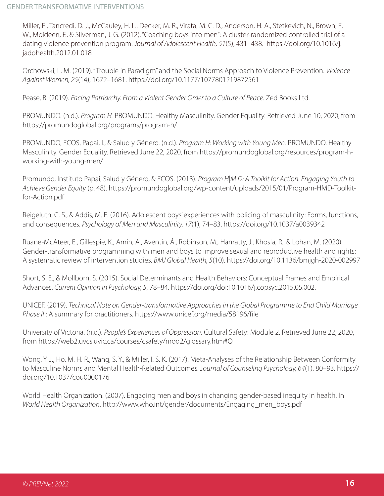Miller, E., Tancredi, D. J., McCauley, H. L., Decker, M. R., Virata, M. C. D., Anderson, H. A., Stetkevich, N., Brown, E. W., Moideen, F., & Silverman, J. G. (2012). "Coaching boys into men": A cluster-randomized controlled trial of a dating violence prevention program. *Journal of Adolescent Health, 51*(5), 431–438. https://doi.org/10.1016/j. jadohealth.2012.01.018

Orchowski, L. M. (2019). "Trouble in Paradigm" and the Social Norms Approach to Violence Prevention. *Violence Against Women, 25*(14), 1672–1681. https://doi.org/10.1177/1077801219872561

Pease, B. (2019). *Facing Patriarchy. From a Violent Gender Order to a Culture of Peace*. Zed Books Ltd.

PROMUNDO. (n.d.). *Program H.* PROMUNDO. Healthy Masculinity. Gender Equality. Retrieved June 10, 2020, from https://promundoglobal.org/programs/program-h/

PROMUNDO, ECOS, Papai, I., & Salud y Género. (n.d.). *Program H: Working with Young Men.* PROMUNDO. Healthy Masculinity. Gender Equality. Retrieved June 22, 2020, from https://promundoglobal.org/resources/program-hworking-with-young-men/

Promundo, Instituto Papai, Salud y Género, & ECOS. (2013). *Program H|M|D: A Toolkit for Action. Engaging Youth to Achieve Gender Equity* (p. 48). https://promundoglobal.org/wp-content/uploads/2015/01/Program-HMD-Toolkitfor-Action.pdf

Reigeluth, C. S., & Addis, M. E. (2016). Adolescent boys' experiences with policing of masculinity: Forms, functions, and consequences. *Psychology of Men and Masculinity, 17*(1), 74–83. https://doi.org/10.1037/a0039342

Ruane-McAteer, E., Gillespie, K., Amin, A., Aventin, Á., Robinson, M., Hanratty, J., Khosla, R., & Lohan, M. (2020). Gender-transformative programming with men and boys to improve sexual and reproductive health and rights: A systematic review of intervention studies. *BMJ Global Health, 5*(10). https://doi.org/10.1136/bmjgh-2020-002997

Short, S. E., & Mollborn, S. (2015). Social Determinants and Health Behaviors: Conceptual Frames and Empirical Advances. *Current Opinion in Psychology, 5*, 78–84. https://doi.org/doi:10.1016/j.copsyc.2015.05.002.

UNICEF. (2019). *Technical Note on Gender-transformative Approaches in the Global Programme to End Child Marriage Phase II* : A summary for practitioners. https://www.unicef.org/media/58196/file

University of Victoria. (n.d.). *People's Experiences of Oppression*. Cultural Safety: Module 2. Retrieved June 22, 2020, from https://web2.uvcs.uvic.ca/courses/csafety/mod2/glossary.htm#Q

Wong, Y. J., Ho, M. H. R., Wang, S. Y., & Miller, I. S. K. (2017). Meta-Analyses of the Relationship Between Conformity to Masculine Norms and Mental Health-Related Outcomes. J*ournal of Counseling Psychology, 64*(1), 80–93. https:// doi.org/10.1037/cou0000176

World Health Organization. (2007). Engaging men and boys in changing gender-based inequity in health. In *World Health Organization*. http://www.who.int/gender/documents/Engaging\_men\_boys.pdf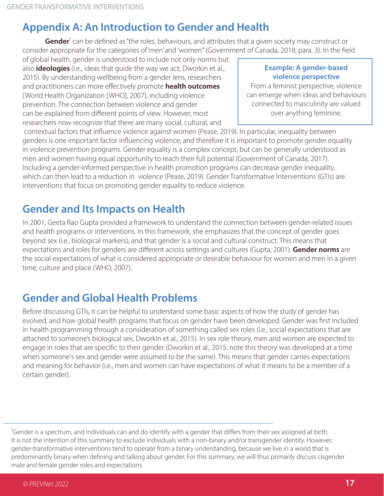#### **Appendix A: An Introduction to Gender and Health**

**Gender**<sup>1</sup> can be defined as "the roles, behaviours, and attributes that a given society may construct or consider appropriate for the categories of 'men' and 'women'" (Government of Canada, 2018, para. 3). In the field

of global health, gender is understood to include not only norms but also **ideologies** (i.e., ideas that guide the way we act; Dworkin et al., 2015). By understanding wellbeing from a gender lens, researchers and practitioners can more effectively promote **health outcomes** (World Health Organization [WHO], 2007), including violence prevention. The connection between violence and gender can be explained from different points of view. However, most researchers now recognize that there are many social, cultural, and

#### **Example: A gender-based violence perspective**

From a feminist perspective, violence can emerge when ideas and behaviours connected to masculinity are valued over anything feminine.

 contextual factors that influence violence against women (Pease, 2019). In particular, inequality between genders is one important factor influencing violence, and therefore it is important to promote gender equality in violence prevention programs. Gender equality is a complex concept, but can be generally understood as men and women having equal opportunity to reach their full potential (Government of Canada, 2017). Including a gender-informed perspective in health promotion programs can decrease gender inequality, which can then lead to a reduction in violence (Pease, 2019). Gender Transformative Interventions (GTIs) are interventions that focus on promoting gender equality to reduce violence.

#### **Gender and Its Impacts on Health**

In 2001, Geeta Rao Gupta provided a framework to understand the connection between gender-related issues and health programs or interventions. In this framework, she emphasizes that the concept of gender goes beyond sex (i.e., biological markers), and that gender is a social and cultural construct. This means that expectations and roles for genders are different across settings and cultures (Gupta, 2001). **Gender norms** are the social expectations of what is considered appropriate or desirable behaviour for women and men in a given time, culture and place (WHO, 2007).

#### **Gender and Global Health Problems**

Before discussing GTIs, it can be helpful to understand some basic aspects of how the study of gender has evolved, and how global health programs that focus on gender have been developed. Gender was first included in health programming through a consideration of something called sex roles (i.e., social expectations that are attached to someone's biological sex; Dworkin et al., 2015). In sex role theory, men and women are expected to engage in roles that are specific to their gender (Dworkin et al., 2015; note this theory was developed at a time when someone's sex and gender were assumed to be the same). This means that gender carries expectations and meaning for behavior (i.e., men and women can have expectations of what it means to be a member of a certain gender).

<sup>1</sup>Gender is a spectrum, and individuals can and do identify with a gender that differs from their sex assigned at birth. It is not the intention of this summary to exclude individuals with a non-binary and/or transgender identity. However, gender-transformative interventions tend to operate from a binary understanding, because we live in a world that is predominantly binary when defining and talking about gender. For this summary, we will thus primarily discuss cisgender male and female gender roles and expectations.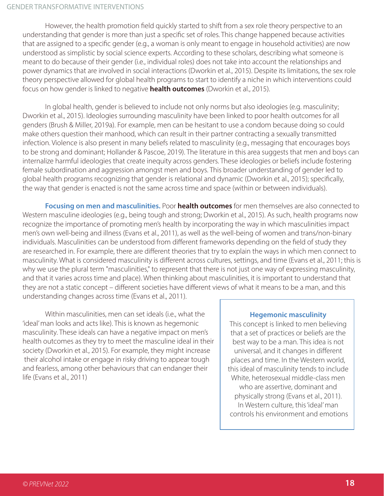However, the health promotion field quickly started to shift from a sex role theory perspective to an understanding that gender is more than just a specific set of roles. This change happened because activities that are assigned to a specific gender (e.g., a woman is only meant to engage in household activities) are now understood as simplistic by social science experts. According to these scholars, describing what someone is meant to do because of their gender (i.e., individual roles) does not take into account the relationships and power dynamics that are involved in social interactions (Dworkin et al., 2015). Despite its limitations, the sex role theory perspective allowed for global health programs to start to identify a niche in which interventions could focus on how gender is linked to negative **health outcomes** (Dworkin et al., 2015).

In global health, gender is believed to include not only norms but also ideologies (e.g. masculinity; Dworkin et al., 2015). Ideologies surrounding masculinity have been linked to poor health outcomes for all genders (Brush & Miller, 2019a). For example, men can be hesitant to use a condom because doing so could make others question their manhood, which can result in their partner contracting a sexually transmitted infection. Violence is also present in many beliefs related to masculinity (e.g., messaging that encourages boys to be strong and dominant; Hollander & Pascoe, 2019). The literature in this area suggests that men and boys can internalize harmful ideologies that create inequity across genders. These ideologies or beliefs include fostering female subordination and aggression amongst men and boys. This broader understanding of gender led to global health programs recognizing that gender is relational and dynamic (Dworkin et al., 2015); specifically, the way that gender is enacted is not the same across time and space (within or between individuals).

**Focusing on men and masculinities.** Poor **health outcomes** for men themselves are also connected to Western masculine ideologies (e.g., being tough and strong; Dworkin et al., 2015). As such, health programs now recognize the importance of promoting men's health by incorporating the way in which masculinities impact men's own well-being and illness (Evans et al., 2011), as well as the well-being of women and trans/non-binary individuals. Masculinities can be understood from different frameworks depending on the field of study they are researched in. For example, there are different theories that try to explain the ways in which men connect to masculinity. What is considered masculinity is different across cultures, settings, and time (Evans et al., 2011; this is why we use the plural term "masculinities," to represent that there is not just one way of expressing masculinity, and that it varies across time and place). When thinking about masculinities, it is important to understand that they are not a static concept – different societies have different views of what it means to be a man, and this understanding changes across time (Evans et al., 2011).

Within masculinities, men can set ideals (i.e., what the 'ideal' man looks and acts like). This is known as hegemonic masculinity. These ideals can have a negative impact on men's health outcomes as they try to meet the masculine ideal in their society (Dworkin et al., 2015). For example, they might increase their alcohol intake or engage in risky driving to appear tough and fearless, among other behaviours that can endanger their life (Evans et al., 2011)

#### **Hegemonic masculinity**

This concept is linked to men believing that a set of practices or beliefs are the best way to be a man. This idea is not universal, and it changes in different places and time. In the Western world, this ideal of masculinity tends to include White, heterosexual middle-class men who are assertive, dominant and physically strong (Evans et al., 2011). In Western culture, this 'ideal' man controls his environment and emotions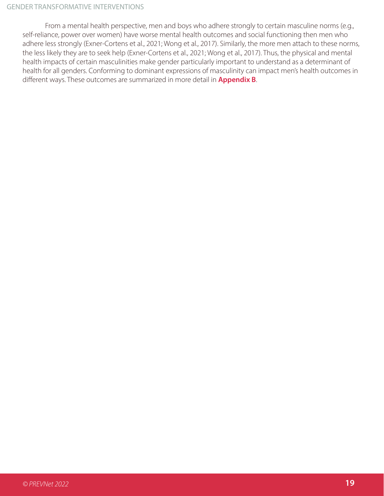From a mental health perspective, men and boys who adhere strongly to certain masculine norms (e.g., self-reliance, power over women) have worse mental health outcomes and social functioning then men who adhere less strongly (Exner-Cortens et al., 2021; Wong et al., 2017). Similarly, the more men attach to these norms, the less likely they are to seek help (Exner-Cortens et al., 2021; Wong et al., 2017). Thus, the physical and mental health impacts of certain masculinities make gender particularly important to understand as a determinant of health for all genders. Conforming to dominant expressions of masculinity can impact men's health outcomes in different ways. These outcomes are summarized in more detail in **Appendix B**.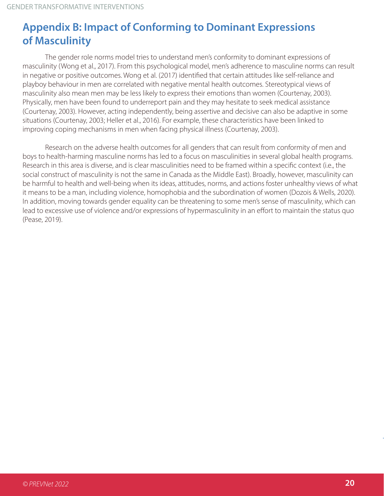#### **Appendix B: Impact of Conforming to Dominant Expressions of Masculinity**

The gender role norms model tries to understand men's conformity to dominant expressions of masculinity (Wong et al., 2017). From this psychological model, men's adherence to masculine norms can result in negative or positive outcomes. Wong et al. (2017) identified that certain attitudes like self-reliance and playboy behaviour in men are correlated with negative mental health outcomes. Stereotypical views of masculinity also mean men may be less likely to express their emotions than women (Courtenay, 2003). Physically, men have been found to underreport pain and they may hesitate to seek medical assistance (Courtenay, 2003). However, acting independently, being assertive and decisive can also be adaptive in some situations (Courtenay, 2003; Heller et al., 2016). For example, these characteristics have been linked to improving coping mechanisms in men when facing physical illness (Courtenay, 2003).

Research on the adverse health outcomes for all genders that can result from conformity of men and boys to health-harming masculine norms has led to a focus on masculinities in several global health programs. Research in this area is diverse, and is clear masculinities need to be framed within a specific context (i.e., the social construct of masculinity is not the same in Canada as the Middle East). Broadly, however, masculinity can be harmful to health and well-being when its ideas, attitudes, norms, and actions foster unhealthy views of what it means to be a man, including violence, homophobia and the subordination of women (Dozois & Wells, 2020). In addition, moving towards gender equality can be threatening to some men's sense of masculinity, which can lead to excessive use of violence and/or expressions of hypermasculinity in an effort to maintain the status quo (Pease, 2019).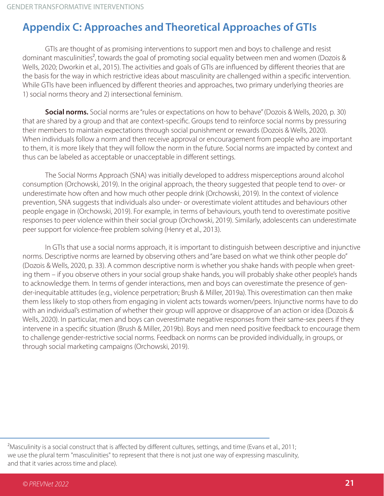#### **Appendix C: Approaches and Theoretical Approaches of GTIs**

GTIs are thought of as promising interventions to support men and boys to challenge and resist dominant masculinities<sup>2</sup>, towards the goal of promoting social equality between men and women (Dozois & Wells, 2020; Dworkin et al., 2015). The activities and goals of GTIs are influenced by different theories that are the basis for the way in which restrictive ideas about masculinity are challenged within a specific intervention. While GTIs have been influenced by different theories and approaches, two primary underlying theories are 1) social norms theory and 2) intersectional feminism.

**Social norms.** Social norms are "rules or expectations on how to behave" (Dozois & Wells, 2020, p. 30) that are shared by a group and that are context-specific. Groups tend to reinforce social norms by pressuring their members to maintain expectations through social punishment or rewards (Dozois & Wells, 2020). When individuals follow a norm and then receive approval or encouragement from people who are important to them, it is more likely that they will follow the norm in the future. Social norms are impacted by context and thus can be labeled as acceptable or unacceptable in different settings.

The Social Norms Approach (SNA) was initially developed to address misperceptions around alcohol consumption (Orchowski, 2019). In the original approach, the theory suggested that people tend to over- or underestimate how often and how much other people drink (Orchowski, 2019). In the context of violence prevention, SNA suggests that individuals also under- or overestimate violent attitudes and behaviours other people engage in (Orchowski, 2019). For example, in terms of behaviours, youth tend to overestimate positive responses to peer violence within their social group (Orchowski, 2019). Similarly, adolescents can underestimate peer support for violence-free problem solving (Henry et al., 2013).

In GTIs that use a social norms approach, it is important to distinguish between descriptive and injunctive norms. Descriptive norms are learned by observing others and "are based on what we think other people do" (Dozois & Wells, 2020, p. 33). A common descriptive norm is whether you shake hands with people when greeting them – if you observe others in your social group shake hands, you will probably shake other people's hands to acknowledge them. In terms of gender interactions, men and boys can overestimate the presence of gender-inequitable attitudes (e.g., violence perpetration; Brush & Miller, 2019a). This overestimation can then make them less likely to stop others from engaging in violent acts towards women/peers. Injunctive norms have to do with an individual's estimation of whether their group will approve or disapprove of an action or idea (Dozois & Wells, 2020). In particular, men and boys can overestimate negative responses from their same-sex peers if they intervene in a specific situation (Brush & Miller, 2019b). Boys and men need positive feedback to encourage them to challenge gender-restrictive social norms. Feedback on norms can be provided individually, in groups, or through social marketing campaigns (Orchowski, 2019).

<sup>2</sup>Masculinity is a social construct that is affected by different cultures, settings, and time (Evans et al., 2011; we use the plural term "masculinities" to represent that there is not just one way of expressing masculinity, and that it varies across time and place).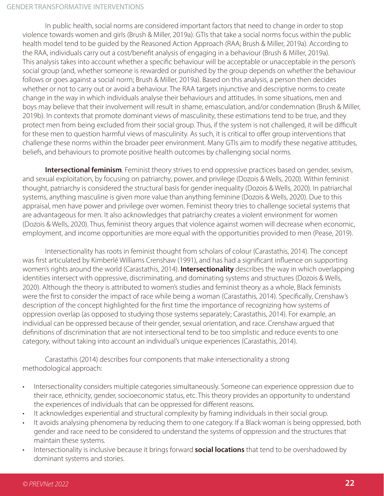In public health, social norms are considered important factors that need to change in order to stop violence towards women and girls (Brush & Miller, 2019a). GTIs that take a social norms focus within the public health model tend to be guided by the Reasoned Action Approach (RAA; Brush & Miller, 2019a). According to the RAA, individuals carry out a cost/benefit analysis of engaging in a behaviour (Brush & Miller, 2019a). This analysis takes into account whether a specific behaviour will be acceptable or unacceptable in the person's social group (and, whether someone is rewarded or punished by the group depends on whether the behaviour follows or goes against a social norm; Brush & Miller, 2019a). Based on this analysis, a person then decides whether or not to carry out or avoid a behaviour. The RAA targets injunctive and descriptive norms to create change in the way in which individuals analyse their behaviours and attitudes. In some situations, men and boys may believe that their involvement will result in shame, emasculation, and/or condemnation (Brush & Miller, 2019b). In contexts that promote dominant views of masculinity, these estimations tend to be true, and they protect men from being excluded from their social group. Thus, if the system is not challenged, it will be difficult for these men to question harmful views of masculinity. As such, it is critical to offer group interventions that challenge these norms within the broader peer environment. Many GTIs aim to modify these negative attitudes, beliefs, and behaviours to promote positive health outcomes by challenging social norms.

**Intersectional feminism**. Feminist theory strives to end oppressive practices based on gender, sexism, and sexual exploitation, by focusing on patriarchy, power, and privilege (Dozois & Wells, 2020). Within feminist thought, patriarchy is considered the structural basis for gender inequality (Dozois & Wells, 2020). In patriarchal systems, anything masculine is given more value than anything feminine (Dozois & Wells, 2020). Due to this appraisal, men have power and privilege over women. Feminist theory tries to challenge societal systems that are advantageous for men. It also acknowledges that patriarchy creates a violent environment for women (Dozois & Wells, 2020). Thus, feminist theory argues that violence against women will decrease when economic, employment, and income opportunities are more equal with the opportunities provided to men (Pease, 2019).

Intersectionality has roots in feminist thought from scholars of colour (Carastathis, 2014). The concept was first articulated by Kimberlé Williams Crenshaw (1991), and has had a significant influence on supporting women's rights around the world (Carastathis, 2014). **Intersectionality** describes the way in which overlapping identities intersect with oppressive, discriminating, and dominating systems and structures (Dozois & Wells, 2020). Although the theory is attributed to women's studies and feminist theory as a whole, Black feminists were the first to consider the impact of race while being a woman (Carastathis, 2014). Specifically, Crenshaw's description of the concept highlighted for the first time the importance of recognizing how systems of oppression overlap (as opposed to studying those systems separately; Carastathis, 2014). For example, an individual can be oppressed because of their gender, sexual orientation, and race. Crenshaw argued that definitions of discrimination that are not intersectional tend to be too simplistic and reduce events to one category, without taking into account an individual's unique experiences (Carastathis, 2014).

Carastathis (2014) describes four components that make intersectionality a strong methodological approach:

- Intersectionality considers multiple categories simultaneously. Someone can experience oppression due to their race, ethnicity, gender, socioeconomic status, etc. This theory provides an opportunity to understand the experiences of individuals that can be oppressed for different reasons.
- It acknowledges experiential and structural complexity by framing individuals in their social group.
- It avoids analysing phenomena by reducing them to one category. If a Black woman is being oppressed, both gender and race need to be considered to understand the systems of oppression and the structures that maintain these systems.
- Intersectionality is inclusive because it brings forward **social locations** that tend to be overshadowed by dominant systems and stories.